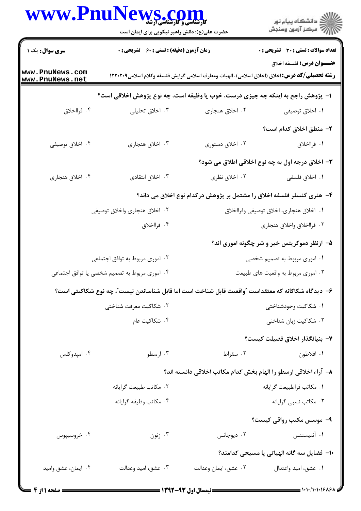|                                    | WWW.PnuNews.com                                                                                   |                      |                                                                                                                                           |
|------------------------------------|---------------------------------------------------------------------------------------------------|----------------------|-------------------------------------------------------------------------------------------------------------------------------------------|
|                                    | حضرت علی(ع): دانش راهبر نیکویی برای ایمان است                                                     |                      | ڪ دانشڪاه پيام نور<br>//> مرڪز آزمون وسنڊش                                                                                                |
| <b>سری سوال :</b> یک ۱             | <b>زمان آزمون (دقیقه) : تستی : 60 گشریحی : 0</b>                                                  |                      | <b>تعداد سوالات : تستی : 30 ٪ تشریحی : 0</b>                                                                                              |
| www.PnuNews.com<br>www.PnuNews.net |                                                                                                   |                      | <b>عنـــوان درس:</b> فلسفه اخلاق<br><b>رشته تحصیلی/کد درس:</b> اخلاق (اخلاق اسلامی)، الهیات ومعارف اسلامی گرایش فلسفه وکلام اسلامی۱۲۲۰۲۰۹ |
|                                    | ا– پژوهش راجع به اینکه چه چیزی درست، خوب یا وظیفه است، چه نوع پژوهش اخلاقی است؟                   |                      |                                                                                                                                           |
| ۰۴ فرااخلاق                        | ۰۳ اخلاق تحلیلی                                                                                   | ۰۲ اخلاق هنجاري      | ۰۱ اخلاق توصيفي                                                                                                                           |
|                                    |                                                                                                   |                      | ٢- منطق اخلاق كدام است؟                                                                                                                   |
| ۰۴ اخلاق توصيفي                    | ۰۳ اخلاق هنجاري                                                                                   | ۰۲ اخلاق دستوری      | ٠١. فرااخلاق                                                                                                                              |
|                                    |                                                                                                   |                      | ٣- اخلاق درجه اول به چه نوع اخلاقی اطلاق می شود؟                                                                                          |
| ۰۴ اخلاق هنجاري                    | ۰۳ اخلاق انتقادى                                                                                  | ۰۲ اخلاق نظری        | ٠١. اخلاق فلسفي                                                                                                                           |
|                                    |                                                                                                   |                      | ۴– هنری گنسلر فلسفه اخلاق را مشتمل بر پژوهش درکدام نوع اخلاق می داند؟                                                                     |
|                                    | ۰۲ اخلاق هنجاری واخلاق توصیفی                                                                     |                      | ٠١. اخلاق هنجاري، اخلاق توصيفي وفرااخلاق                                                                                                  |
|                                    | ۰۴ فرااخلاق                                                                                       |                      | ۰۳ فرااخلاق واخلاق هنجاري                                                                                                                 |
|                                    |                                                                                                   |                      | ۵− ازنظر دموکریتس خیر و شر چگونه اموری اند؟                                                                                               |
|                                    | ۰۲ اموری مربوط به توافق اجتماعی                                                                   |                      | ۰۱ اموری مربوط به تصمیم شخصی                                                                                                              |
|                                    | ۰۴ اموری مربوط به تصمیم شخصی یا توافق اجتماعی                                                     |                      | ۰۳ اموري مربوط به واقعيت هاي طبيعت                                                                                                        |
|                                    | ۶– دیدگاه شکاکانه که معتقداست ″واقعیت قابل شناخت است اما قابل شناساندن نیست″، چه نوع شکاکیتی است؟ |                      |                                                                                                                                           |
|                                    | ۲. شکاکیت معرفت شناختی                                                                            |                      | ۰۱ شکاکیت وجودشناختی                                                                                                                      |
|                                    | ۰۴ شکاکیت عام                                                                                     |                      | ۰۳ شکاکیت زبان شناختی                                                                                                                     |
|                                    |                                                                                                   |                      | ٧– بنيانگذار اخلاق فضيلت كيست؟                                                                                                            |
| ۰۴ امپدوکلس                        | ۰۳ ارسطو                                                                                          | ۰۲ سقراط             | ٠١. افلاطون                                                                                                                               |
|                                    |                                                                                                   |                      | ٨- آراء اخلاقي ارسطو را الهام بخش كدام مكاتب اخلاقي دانسته اند؟                                                                           |
|                                    | ۰۲ مكاتب طبيعت گرايانه                                                                            |                      | ٠١ مكاتب فراطبيعت گرايانه                                                                                                                 |
|                                    | ۰۴ مكاتب وظيفه گرايانه                                                                            |                      | ۰۳ مکاتب نسبی گرایانه                                                                                                                     |
|                                    |                                                                                                   |                      | ۹- موسس مکتب رواقی کیست؟                                                                                                                  |
| ۰۴ خروسیپوس                        | ۰۳ زنون                                                                                           | ۰۲ دیوجانس           | ۰۱ آنتیستنس                                                                                                                               |
|                                    |                                                                                                   |                      | •ا– فضایل سه گانه الهیاتی یا مسیحی کدامند؟                                                                                                |
| ۰۴ ایمان، عشق وامید                | ۰۳ عشق، امید وعدالت                                                                               | ٠٢ عشق، ايمان وعدالت | ۰۱ عشق، امید واعتدال                                                                                                                      |
|                                    |                                                                                                   |                      |                                                                                                                                           |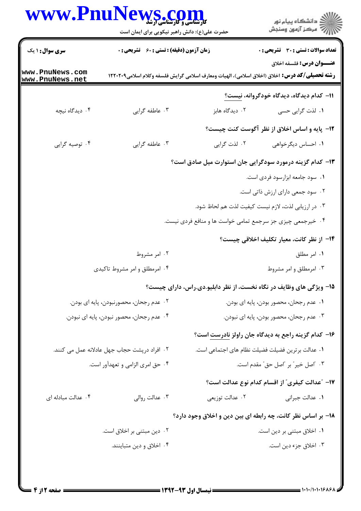## $\overline{\mathbf{X}}$

| www.Fnu                            | <b>کے لیے لیے جیکی میں</b><br>کارشناسی و کارشناسی ار<br>حضرت علی(ع): دانش راهبر نیکویی برای ایمان است |                                                                                                       | ≦ دانشڪاه پيام نور<br>7- مرڪز آزمون وسنڊش            |
|------------------------------------|-------------------------------------------------------------------------------------------------------|-------------------------------------------------------------------------------------------------------|------------------------------------------------------|
| <b>سری سوال : ۱ یک</b>             | <b>زمان آزمون (دقیقه) : تستی : 60 ٪ تشریحی : 0</b>                                                    |                                                                                                       | <b>تعداد سوالات : تستی : 30 ٪ تشریحی : 0</b>         |
| www.PnuNews.com<br>www.PnuNews.net |                                                                                                       | <b>رشته تحصیلی/کد درس:</b> اخلاق (اخلاق اسلامی)، الهیات ومعارف اسلامی گرایش فلسفه وکلام اسلامی۱۲۲۰۲۰۹ | <b>عنـــوان درس:</b> فلسفه اخلاق                     |
|                                    |                                                                                                       |                                                                                                       | ۱۱– کدام دیدگاه، دیدگاه خودگروانه، نیست؟             |
| ۰۴ دیدگاه نیچه                     | ۰۳ عاطفه گرايي                                                                                        | ۰۲ دیدگاه هابز                                                                                        | ۰۱ لذت گرایی حسی                                     |
|                                    |                                                                                                       |                                                                                                       | <b>۱۲</b> - پایه و اساس اخلاق از نظر آگوست کنت چیست؟ |
| ۰۴ توصیه گرایی                     | ۰۳ عاطفه گرايي                                                                                        | ۰۲ لذت گرایی                                                                                          | ۰۱ احساس دیگرخواهی                                   |
|                                    |                                                                                                       | ۱۳- کدام گزینه درمورد سودگرایی جان استوارت میل صادق است؟                                              |                                                      |
|                                    |                                                                                                       |                                                                                                       | ٠١ سود جامعه ابزارسود فردى است.                      |
|                                    |                                                                                                       |                                                                                                       | ٠٢ سود جمعي داراي ارزش ذاتي است.                     |
|                                    |                                                                                                       | ۰۳ در ارزیابی لذت، لازم نیست کیفیت لذت هم لحاظ شود.                                                   |                                                      |
|                                    |                                                                                                       | ۰۴ خیرجمعی چیزی جز سرجمع تمامی خواست ها و منافع فردی نیست.                                            |                                                      |
|                                    |                                                                                                       |                                                                                                       | ۱۴– از نظر کانت، معیار تکلیف اخلاقی چیست؟            |
|                                    | ۰۲ امر مشروط                                                                                          |                                                                                                       | ۰۱ امر مطلق                                          |
|                                    | ۰۴ امرمطلق و امر مشروط تاکیدی                                                                         |                                                                                                       | ۰۳ امرمطلق و امر مشروط                               |
|                                    |                                                                                                       | ۱۵- ویژگی های وظایف در نگاه نخست، از نظر دابلیو.دی.راس، دارای چیست؟                                   |                                                      |
|                                    | ۰۲ عدم رجحان، محصورنبودن، پایه ای بودن.                                                               |                                                                                                       | ٠١ عدم رجحان، محصور بودن، پايه اي بودن.              |
|                                    | ۰۴ عدم رجحان، محصور نبودن، پايه اي نبودن.                                                             |                                                                                                       | ۰۳ عدم رجحان، محصور بودن، پایه ای نبودن.             |
|                                    |                                                                                                       | ۱۶– کدام گزینه راجع به دیدگاه جان راولز <u>نادرست</u> است؟                                            |                                                      |
|                                    | ٢. افراد درپشت حجاب جهل عادلانه عمل می کنند.                                                          | ٠١ عدالت برترين فضيلت فضيلت نظام هاى اجتماعي است.                                                     |                                                      |
|                                    | ۰۴ حق امری الزامی و تعهدآور است.                                                                      |                                                                                                       | ٠٣ "اصل خير" بر "اصل حق" مقدم است.                   |
|                                    |                                                                                                       |                                                                                                       | ١٧- "عدالت كيفري" از اقسام كدام نوع عدالت است؟       |
| ۰۴ عدالت مبادله ای                 | ۰۳ عدالت روالي                                                                                        | ۰۲ عدالت توزیعی                                                                                       | ٠١ عدالت جبراني                                      |
|                                    |                                                                                                       | 18- بر اساس نظر کانت، چه رابطه ای بین دین و اخلاق وجود دارد؟                                          |                                                      |
|                                    | ۰۲ دین مبتنی بر اخلاق است.                                                                            |                                                                                                       | ٠١. اخلاق مبتنى بر دين است.                          |
|                                    | ۰۴ اخلاق و دين متباينند.                                                                              |                                                                                                       | ۰۳ اخلاق جزء دين است.                                |
|                                    |                                                                                                       |                                                                                                       |                                                      |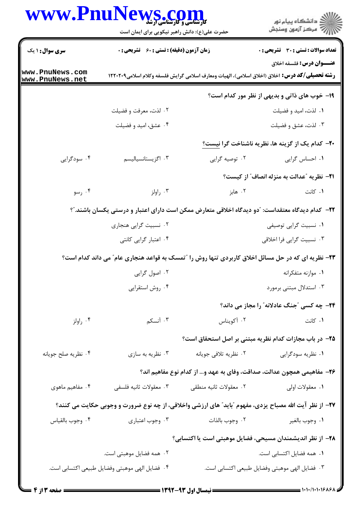| WWW.Fnur                                                                                           | <b>الی الی است و کارشناسی ارشد</b><br>کارشناسی و کارشناسی ارشد<br>حضرت علی(ع): دانش راهبر نیکویی برای ایمان است |                        | ≦ دانشڪاه پيام نور<br>√ مرڪز آزمون وسنڊش                                                                                                  |
|----------------------------------------------------------------------------------------------------|-----------------------------------------------------------------------------------------------------------------|------------------------|-------------------------------------------------------------------------------------------------------------------------------------------|
| <b>سری سوال : ۱ یک</b>                                                                             | <b>زمان آزمون (دقیقه) : تستی : 60 ٪ تشریحی : 0</b>                                                              |                        | <b>تعداد سوالات : تستي : 30 ٪ تشريحي : 0</b>                                                                                              |
| www.PnuNews.com<br>www.PnuNews.net                                                                 |                                                                                                                 |                        | <b>عنـــوان درس:</b> فلسفه اخلاق<br><b>رشته تحصیلی/کد درس:</b> اخلاق (اخلاق اسلامی)، الهیات ومعارف اسلامی گرایش فلسفه وکلام اسلامی۱۲۲۰۲۰۹ |
|                                                                                                    |                                                                                                                 |                        | <b>۱۹- خوب های ذاتی و بدیهی از نظر مور کدام است؟</b>                                                                                      |
|                                                                                                    | ۰۲ لذت، معرفت و فضيلت                                                                                           |                        | ۰۱ لذت، امید و فضیلت                                                                                                                      |
|                                                                                                    | ۰۴ عشق، امید و فضیلت                                                                                            |                        | ۰۳ لذت، عشق و فضيلت                                                                                                                       |
|                                                                                                    |                                                                                                                 |                        | ۲۰- کدام یک از گزینه ها، نظریه ناشناخت گرا نیست؟                                                                                          |
| ۰۴ سودگرایی                                                                                        | ۰۳ اگزیستانسیالیسم                                                                                              | ۰۲ توصیه گرایی         | ۰۱ احساس گرایی                                                                                                                            |
|                                                                                                    |                                                                                                                 |                        | <b>٢١</b> - نظريه "عدالت به منزله انصاف" از كيست؟                                                                                         |
| ۰۴ رسو                                                                                             | ۰۳ راولز                                                                                                        | ۰۲ هابز                | ۰۱ کانت                                                                                                                                   |
| ۲۲– کدام دیدگاه معتقداست: "دو دیدگاه اخلاقی متعارض ممکن است دارای اعتبار و درستی یکسان باشند."؟    |                                                                                                                 |                        |                                                                                                                                           |
|                                                                                                    | ۰۲ نسبیت گرایی هنجاری                                                                                           |                        | ۰۱ نسبیت گرایی توصیفی                                                                                                                     |
|                                                                                                    | ۰۴ اعتبار گرایی کانتی                                                                                           |                        | ۰۳ نسبیت گرایی فرا اخلاقی                                                                                                                 |
| ۲۳- نظریه ای که در حل مسائل اخلاق کاربردی تنها روش را "تمسک به قواعد هنجاری عام" می داند کدام است؟ |                                                                                                                 |                        |                                                                                                                                           |
|                                                                                                    | ۰۲ اصول گرایی                                                                                                   |                        | ٠١ موازنه متفكرانه                                                                                                                        |
|                                                                                                    | ۰۴ روش استقرايي                                                                                                 |                        | ۰۳ استدلال مبتنی برمورد                                                                                                                   |
|                                                                                                    |                                                                                                                 |                        | <b>۲۴- چه کسی "جنگ عادلانه" را مجاز می داند؟</b>                                                                                          |
| ۰۴ راولز                                                                                           | ۰۳ آنسکم                                                                                                        | ٠٢ آكويناس             | ۰۱ کانت                                                                                                                                   |
|                                                                                                    |                                                                                                                 |                        | ۲۵– در باب مجازات کدام نظریه مبتنی بر اصل استحقاق است؟                                                                                    |
| ۰۴ نظريه صلح جويانه                                                                                | ۰۳ نظریه به سازی                                                                                                | ٠٢ نظريه تلافي جويانه  | ۰۱ نظریه سودگرایی                                                                                                                         |
|                                                                                                    |                                                                                                                 |                        | ۲۶– مفاهیمی همچون عدالت، صداقت، وفای به عهد و… از کدام نوع مفاهیم اند؟                                                                    |
| ۰۴ مفاهیم ماهوی                                                                                    | ٠٣ معقولات ثانيه فلسفى                                                                                          | ٠٢ معقولات ثانيه منطقى | ۰۱ معقولات اولی                                                                                                                           |
|                                                                                                    |                                                                                                                 |                        | ۲۷- از نظر آیت الله مصباح یزدی، مفهوم "باید" های ارزشی واخلاقی، از چه نوع ضرورت و وجوبی حکایت می کنند؟                                    |
| ۰۴ وجوب بالقياس                                                                                    | ۰۳ وجوب اعتباري                                                                                                 | ٠٢ وجوب بالذات         | ٠١ وجوب بالغير                                                                                                                            |
|                                                                                                    |                                                                                                                 |                        | ٢٨- از نظر انديشمندان مسيحي، فضايل موهبتي است يا اكتسابي؟                                                                                 |
|                                                                                                    | ۰۲ همه فضایل موهبتی است.                                                                                        |                        | ٠١. همه فضايل اكتسابي است.                                                                                                                |
|                                                                                                    | ۰۴ فضایل الهی موهبتی وفضایل طبیعی اکتسابی است.                                                                  |                        | ۰۳ فضایل الهی موهبتی وفضایل طبیعی اکتسابی است.                                                                                            |